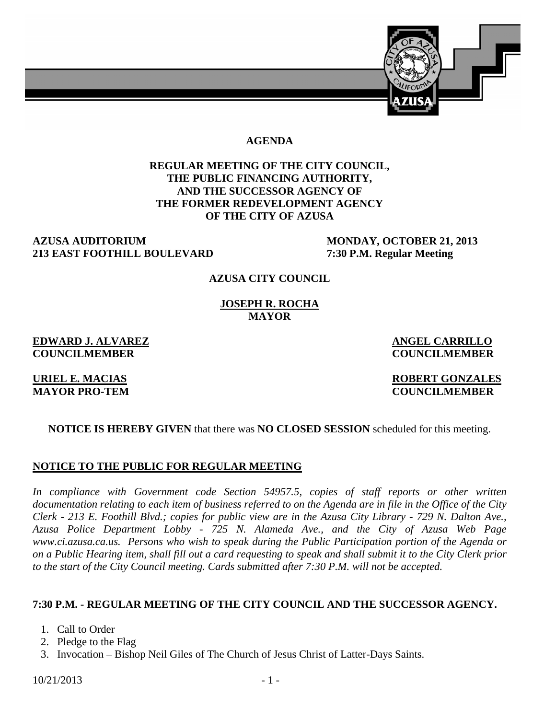

#### **AGENDA**

## **REGULAR MEETING OF THE CITY COUNCIL, THE PUBLIC FINANCING AUTHORITY, AND THE SUCCESSOR AGENCY OF THE FORMER REDEVELOPMENT AGENCY OF THE CITY OF AZUSA**

# **AZUSA AUDITORIUM MONDAY, OCTOBER 21, 2013 213 EAST FOOTHILL BOULEVARD 7:30 P.M. Regular Meeting**

#### **AZUSA CITY COUNCIL**

**JOSEPH R. ROCHA MAYOR** 

**EDWARD J. ALVAREZ ANGEL CARRILLO COUNCILMEMBER COUNCILMEMBER** 

#### **URIEL E. MACIAS ROBERT GONZALES MAYOR PRO-TEM COUNCILMEMBER**

#### **NOTICE IS HEREBY GIVEN** that there was **NO CLOSED SESSION** scheduled for this meeting.

#### **NOTICE TO THE PUBLIC FOR REGULAR MEETING**

*In compliance with Government code Section 54957.5, copies of staff reports or other written documentation relating to each item of business referred to on the Agenda are in file in the Office of the City Clerk - 213 E. Foothill Blvd.; copies for public view are in the Azusa City Library - 729 N. Dalton Ave., Azusa Police Department Lobby - 725 N. Alameda Ave., and the City of Azusa Web Page www.ci.azusa.ca.us. Persons who wish to speak during the Public Participation portion of the Agenda or on a Public Hearing item, shall fill out a card requesting to speak and shall submit it to the City Clerk prior to the start of the City Council meeting. Cards submitted after 7:30 P.M. will not be accepted.* 

#### **7:30 P.M. - REGULAR MEETING OF THE CITY COUNCIL AND THE SUCCESSOR AGENCY.**

- 1. Call to Order
- 2. Pledge to the Flag
- 3. Invocation Bishop Neil Giles of The Church of Jesus Christ of Latter-Days Saints.

 $10/21/2013$  - 1 -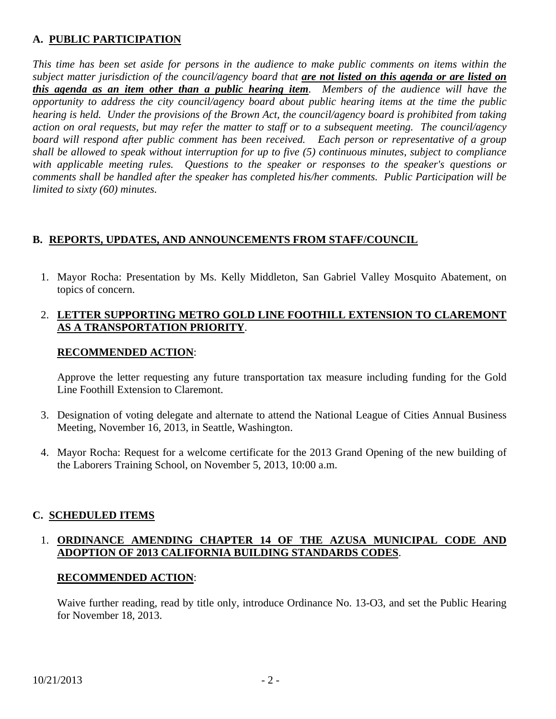# **A. PUBLIC PARTICIPATION**

*This time has been set aside for persons in the audience to make public comments on items within the subject matter jurisdiction of the council/agency board that are not listed on this agenda or are listed on this agenda as an item other than a public hearing item. Members of the audience will have the opportunity to address the city council/agency board about public hearing items at the time the public hearing is held. Under the provisions of the Brown Act, the council/agency board is prohibited from taking action on oral requests, but may refer the matter to staff or to a subsequent meeting. The council/agency board will respond after public comment has been received. Each person or representative of a group shall be allowed to speak without interruption for up to five (5) continuous minutes, subject to compliance with applicable meeting rules. Questions to the speaker or responses to the speaker's questions or comments shall be handled after the speaker has completed his/her comments. Public Participation will be limited to sixty (60) minutes.*

# **B. REPORTS, UPDATES, AND ANNOUNCEMENTS FROM STAFF/COUNCIL**

 1. Mayor Rocha: Presentation by Ms. Kelly Middleton, San Gabriel Valley Mosquito Abatement, on topics of concern.

## 2. **LETTER SUPPORTING METRO GOLD LINE FOOTHILL EXTENSION TO CLAREMONT AS A TRANSPORTATION PRIORITY**.

## **RECOMMENDED ACTION**:

Approve the letter requesting any future transportation tax measure including funding for the Gold Line Foothill Extension to Claremont.

- 3. Designation of voting delegate and alternate to attend the National League of Cities Annual Business Meeting, November 16, 2013, in Seattle, Washington.
- 4. Mayor Rocha: Request for a welcome certificate for the 2013 Grand Opening of the new building of the Laborers Training School, on November 5, 2013, 10:00 a.m.

## **C. SCHEDULED ITEMS**

## 1. **ORDINANCE AMENDING CHAPTER 14 OF THE AZUSA MUNICIPAL CODE AND ADOPTION OF 2013 CALIFORNIA BUILDING STANDARDS CODES**.

## **RECOMMENDED ACTION**:

Waive further reading, read by title only, introduce Ordinance No. 13-O3, and set the Public Hearing for November 18, 2013.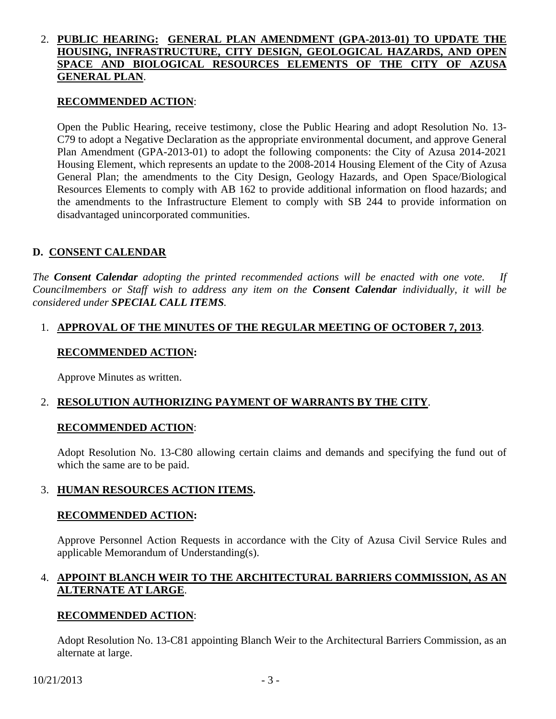## 2. **PUBLIC HEARING: GENERAL PLAN AMENDMENT (GPA-2013-01) TO UPDATE THE HOUSING, INFRASTRUCTURE, CITY DESIGN, GEOLOGICAL HAZARDS, AND OPEN SPACE AND BIOLOGICAL RESOURCES ELEMENTS OF THE CITY OF AZUSA GENERAL PLAN**.

#### **RECOMMENDED ACTION**:

Open the Public Hearing, receive testimony, close the Public Hearing and adopt Resolution No. 13- C79 to adopt a Negative Declaration as the appropriate environmental document, and approve General Plan Amendment (GPA-2013-01) to adopt the following components: the City of Azusa 2014-2021 Housing Element, which represents an update to the 2008-2014 Housing Element of the City of Azusa General Plan; the amendments to the City Design, Geology Hazards, and Open Space/Biological Resources Elements to comply with AB 162 to provide additional information on flood hazards; and the amendments to the Infrastructure Element to comply with SB 244 to provide information on disadvantaged unincorporated communities.

## **D. CONSENT CALENDAR**

*The Consent Calendar adopting the printed recommended actions will be enacted with one vote. If Councilmembers or Staff wish to address any item on the Consent Calendar individually, it will be considered under SPECIAL CALL ITEMS.* 

#### 1. **APPROVAL OF THE MINUTES OF THE REGULAR MEETING OF OCTOBER 7, 2013**.

#### **RECOMMENDED ACTION:**

Approve Minutes as written.

## 2. **RESOLUTION AUTHORIZING PAYMENT OF WARRANTS BY THE CITY**.

#### **RECOMMENDED ACTION**:

Adopt Resolution No. 13-C80 allowing certain claims and demands and specifying the fund out of which the same are to be paid.

## 3. **HUMAN RESOURCES ACTION ITEMS.**

#### **RECOMMENDED ACTION:**

Approve Personnel Action Requests in accordance with the City of Azusa Civil Service Rules and applicable Memorandum of Understanding(s).

## 4. **APPOINT BLANCH WEIR TO THE ARCHITECTURAL BARRIERS COMMISSION, AS AN ALTERNATE AT LARGE**.

#### **RECOMMENDED ACTION**:

Adopt Resolution No. 13-C81 appointing Blanch Weir to the Architectural Barriers Commission, as an alternate at large.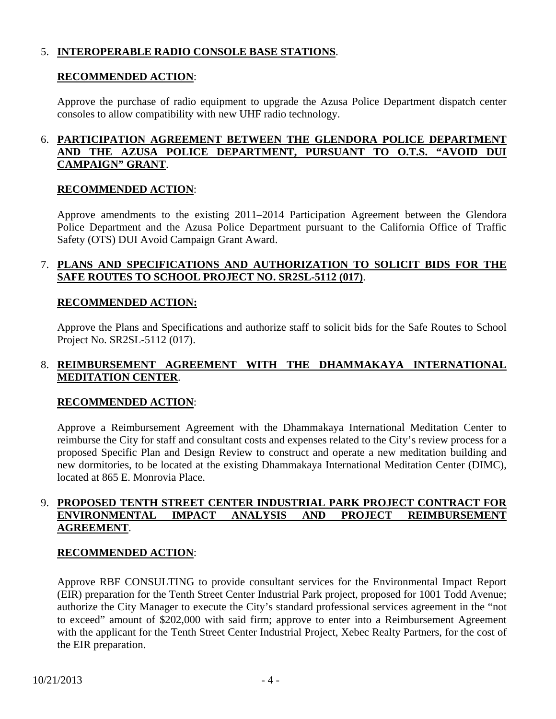## 5. **INTEROPERABLE RADIO CONSOLE BASE STATIONS**.

#### **RECOMMENDED ACTION**:

Approve the purchase of radio equipment to upgrade the Azusa Police Department dispatch center consoles to allow compatibility with new UHF radio technology.

## 6. **PARTICIPATION AGREEMENT BETWEEN THE GLENDORA POLICE DEPARTMENT AND THE AZUSA POLICE DEPARTMENT, PURSUANT TO O.T.S. "AVOID DUI CAMPAIGN" GRANT**.

## **RECOMMENDED ACTION**:

Approve amendments to the existing 2011–2014 Participation Agreement between the Glendora Police Department and the Azusa Police Department pursuant to the California Office of Traffic Safety (OTS) DUI Avoid Campaign Grant Award.

#### 7. **PLANS AND SPECIFICATIONS AND AUTHORIZATION TO SOLICIT BIDS FOR THE SAFE ROUTES TO SCHOOL PROJECT NO. SR2SL-5112 (017)**.

#### **RECOMMENDED ACTION:**

Approve the Plans and Specifications and authorize staff to solicit bids for the Safe Routes to School Project No. SR2SL-5112 (017).

## 8. **REIMBURSEMENT AGREEMENT WITH THE DHAMMAKAYA INTERNATIONAL MEDITATION CENTER**.

## **RECOMMENDED ACTION**:

Approve a Reimbursement Agreement with the Dhammakaya International Meditation Center to reimburse the City for staff and consultant costs and expenses related to the City's review process for a proposed Specific Plan and Design Review to construct and operate a new meditation building and new dormitories, to be located at the existing Dhammakaya International Meditation Center (DIMC), located at 865 E. Monrovia Place.

## 9. **PROPOSED TENTH STREET CENTER INDUSTRIAL PARK PROJECT CONTRACT FOR ENVIRONMENTAL IMPACT ANALYSIS AND PROJECT REIMBURSEMENT AGREEMENT**.

#### **RECOMMENDED ACTION**:

Approve RBF CONSULTING to provide consultant services for the Environmental Impact Report (EIR) preparation for the Tenth Street Center Industrial Park project, proposed for 1001 Todd Avenue; authorize the City Manager to execute the City's standard professional services agreement in the "not to exceed" amount of \$202,000 with said firm; approve to enter into a Reimbursement Agreement with the applicant for the Tenth Street Center Industrial Project, Xebec Realty Partners, for the cost of the EIR preparation.